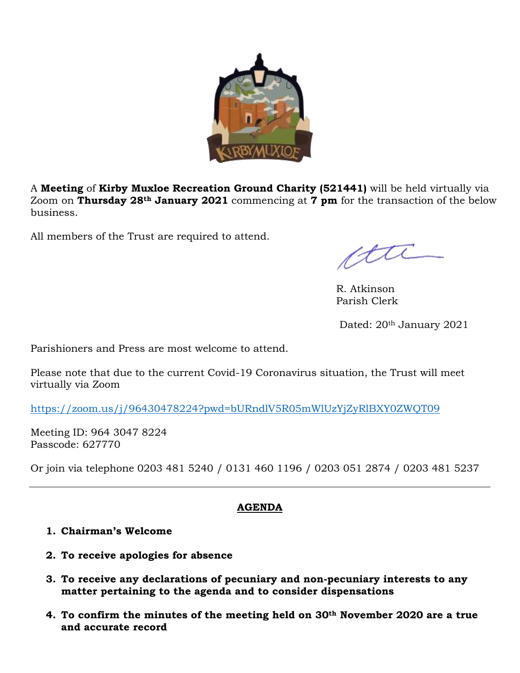

A **Meeting** of **Kirby Muxloe Recreation Ground Charity (521441)** will be held virtually via Zoom on **Thursday 28th January 2021** commencing at **7 pm** for the transaction of the below business.

All members of the Trust are required to attend.

ette

R. Atkinson Parish Clerk

Dated: 20th January 2021

Parishioners and Press are most welcome to attend.

Please note that due to the current Covid-19 Coronavirus situation, the Trust will meet virtually via Zoom

<https://zoom.us/j/96430478224?pwd=bURndlV5R05mWlUzYjZyRlBXY0ZWQT09>

Meeting ID: 964 3047 8224 Passcode: 627770

Or join via telephone 0203 481 5240 / 0131 460 1196 / 0203 051 2874 / 0203 481 5237

#### **AGENDA**

#### **1. Chairman's Welcome**

- **2. To receive apologies for absence**
- **3. To receive any declarations of pecuniary and non-pecuniary interests to any matter pertaining to the agenda and to consider dispensations**
- **4. To confirm the minutes of the meeting held on 30th November 2020 are a true and accurate record**